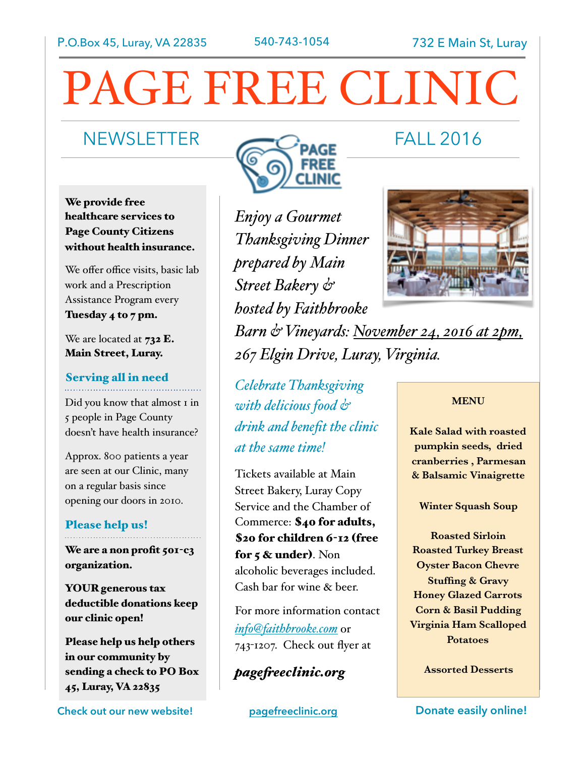# PAGE FREE CLINIC

We provide free healthcare services to Page County Citizens without health insurance.

We offer office visits, basic lab work and a Prescription Assistance Program every Tuesday 4 to 7 pm.

We are located at  $732$  E. Main Street, Luray.

# Serving all in need

Did you know that almost 1 in 5 people in Page County doesn't have health insurance?

Approx. 800 patients a year are seen at our Clinic, many on a regular basis since opening our doors in 2010.

### Please help us!

We are a non profit 501-c3 organization.

YOUR generous tax deductible donations keep our clinic open!

Please help us help others in our community by sending a check to PO Box 45, Luray, VA 22835

**Check out our new website! [pagefreeclinic.org](http://pagefreeclinic.org) Donate easily online!** 



*Enjoy a Gourmet Thanksgiving Dinner prepared by Main Street Bakery & hosted by Faithbrooke Barn & Vineyards: November 24, 2016 at 2pm, 267 Elgin Drive, Luray, Virginia.*

*Celebrate Thanksgiving with delicious food & drink and benefit the clinic at the same time!*

Tickets available at Main Street Bakery, Luray Copy Service and the Chamber of Commerce: \$40 for adults, \$20 for children 6-12 (free for 5 & under). Non alcoholic beverages included. Cash bar for wine & beer.

For more information contact *[info@faithbrooke.com](mailto:info@faithbrooke.com)* or 743-1207. Check out flyer at

*pagef[eeclinic.org](http://pagefreeclinic.org)*



**MENU** 

**Kale Salad with roasted pumpkin seeds, dried cranberries , Parmesan & Balsamic Vinaigrette** 

### **Winter Squash Soup**

**Roasted Sirloin Roasted Turkey Breast Oyster Bacon Chevre Stuffing & Gravy Honey Glazed Carrots Corn & Basil Pudding Virginia Ham Scalloped Potatoes** 

**Assorted Desserts**